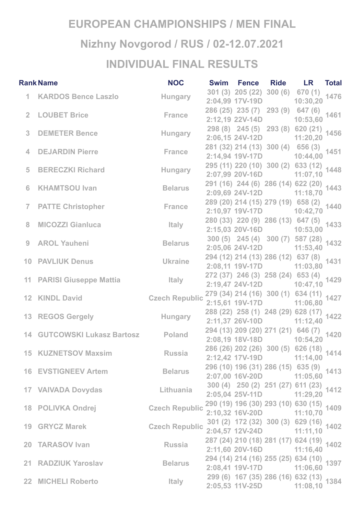## **EUROPEAN CHAMPIONSHIPS / MEN FINAL Nizhny Novgorod / RUS / 02-12.07.2021 INDIVIDUAL FINAL RESULTS**

|                  | <b>Rank Name</b>                                           | <b>NOC</b>                                                                                                                                                                                                                           |                                   | Swim Fence Ride LR Total                                             |      |
|------------------|------------------------------------------------------------|--------------------------------------------------------------------------------------------------------------------------------------------------------------------------------------------------------------------------------------|-----------------------------------|----------------------------------------------------------------------|------|
|                  | 1 KARDOS Bence Laszlo Hungary                              |                                                                                                                                                                                                                                      | 301 (3) 205 (22) 300 (6) 670 (1)  | 2:04,99 17V-19D 10:30,20                                             | 1476 |
| 2 <sup>1</sup>   | <b>Example 18 Service Strangers</b><br><b>LOUBET Brice</b> |                                                                                                                                                                                                                                      | 286 (25) 235 (7) 293 (9) 647 (6)  | 2:12,19 22V-14D 10:53,60                                             | 1461 |
| 3 <sup>1</sup>   | <b>DEMETER Bence</b>                                       | Hungary                                                                                                                                                                                                                              |                                   | $298(8)$ 245 (5) 293 (8) 620 (21) 1456<br>2:06,15 24V-12D 11:20,20   |      |
| $\blacktriangle$ | <b>DEJARDIN Pierre</b>                                     | <b>Example 18 France</b>                                                                                                                                                                                                             |                                   | 281 (32) 214 (13) 300 (4) 656 (3)<br>2:14,94 19V-17D 10:44,00        | 1451 |
| 5                | <b>BERECZKI Richard</b>                                    | Hungary                                                                                                                                                                                                                              |                                   | $295(11) 220(10) 300(2) 633(12)$ 1448<br>2:07,99 20V-16D 11:07,10    |      |
| 6                | <b>KHAMTSOU Ivan</b>                                       | <b>Belarus</b>                                                                                                                                                                                                                       |                                   | 291 (16) 244 (6) 286 (14) 622 (20) 1443<br>2:09,69 24V-12D 11:18,70  |      |
| $\overline{7}$   | <b>PATTE Christopher</b>                                   | <b>Example 18 France</b>                                                                                                                                                                                                             |                                   | 289 (20) 214 (15) 279 (19) 658 (2)<br>2:10,97 19V-17D 10:42,70       | 1440 |
| 8                | <b>MICOZZI Gianluca</b>                                    | <b>Example 15 Service 15 Service 15 Service 15 Service 15 Service 15 Service 15 Service 15 Service 15 Service 15 Service 15 Service 15 Service 15 Service 15 Service 15 Service 15 Service 15 Service 15 Service 15 Service 15 S</b> | 280 (33) 220 (9) 286 (13) 647 (5) | 2:15,03 20V-16D 10:53,00                                             | 1433 |
| 9                | <b>AROL Yauheni</b>                                        | <b>Example 18 Belarus</b>                                                                                                                                                                                                            |                                   | $300(5)$ 245 (4) 300 (7) 587 (28) 1432<br>2:05,06 24V-12D 11:53,40   |      |
|                  | 10 PAVLIUK Denus <b>Marshall</b> Ukraine                   |                                                                                                                                                                                                                                      |                                   | 294 (12) 214 (13) 286 (12) 637 (8)<br>2:08,11 19V-17D 11:03,80       | 1431 |
|                  | 11 PARISI Giuseppe Mattia Martin Museum Italy              |                                                                                                                                                                                                                                      |                                   | $272(37)$ 246 (3) 258 (24) 653 (4) 1429<br>2:19,47 24V-12D 10:47,10  |      |
|                  | 12 KINDL David Czech Republic                              |                                                                                                                                                                                                                                      | 2:15,61 19V-17D 11:06,80          | 279(34) 214(16) 300(1) 634(11) 1427                                  |      |
|                  | 13 REGOS Gergely <b>Example 20 Hungary</b>                 |                                                                                                                                                                                                                                      |                                   | $288(22)$ 258 (1) 248 (29) 628 (17) 1422<br>2:11,37 26V-10D 11:12,40 |      |
|                  | 14 GUTCOWSKI Lukasz Bartosz Poland                         |                                                                                                                                                                                                                                      |                                   | 294 (13) 209 (20) 271 (21) 646 (7)<br>2:08,19 18V-18D 10:54,20       | 1420 |
|                  | <b>15 KUZNETSOV Maxsim</b>                                 | <b>Russia</b>                                                                                                                                                                                                                        |                                   | 286 (26) 202 (26) 300 (5) 626 (18) 1414<br>2:12,42 17V-19D 11:14,00  | 1414 |
|                  | <b>16 EVSTIGNEEV Artem</b>                                 | <b>Belarus</b>                                                                                                                                                                                                                       | 2:07,00 16V-20D                   | 296 (10) 196 (31) 286 (15) 635 (9)<br>11:05,60                       | 1413 |
|                  | 17 VAIVADA Dovydas                                         | Lithuania                                                                                                                                                                                                                            | 2:05,04 25V-11D 11:29,20          | $300(4)$ 250 (2) 251 (27) 611 (23) 1412                              |      |
|                  | 18 POLIVKA Ondrej                                          | <b>Czech Republic</b>                                                                                                                                                                                                                | 2:10,32 16V-20D 11:10,70          | 290 (19) 196 (30) 293 (10) 630 (15) 1409                             |      |
|                  | 19 GRYCZ Marek                                             | <b>Czech Republic</b>                                                                                                                                                                                                                |                                   | $301 (2) 172 (32) 300 (3) 629 (16) 1402$<br>2:04,57 12V-24D 11:11,10 |      |
|                  | 20 TARASOV Ivan                                            | <b>Russia</b>                                                                                                                                                                                                                        | 2:11,60 20V-16D                   | 287 (24) 210 (18) 281 (17) 624 (19) 1402<br>11:16,40                 |      |
|                  | 21 RADZIUK Yaroslav                                        | <b>Belarus</b>                                                                                                                                                                                                                       |                                   | $294(14) 214(16) 255(25) 634(10)$ 1397<br>2:08,41 19V-17D 11:06,60   |      |
|                  | 22 MICHELI Roberto                                         | <b>Italy</b>                                                                                                                                                                                                                         | 2:05,53 11V-25D                   | $299(6)$ 167 (35) 286 (16) 632 (13) 1384<br>11:08,10                 |      |